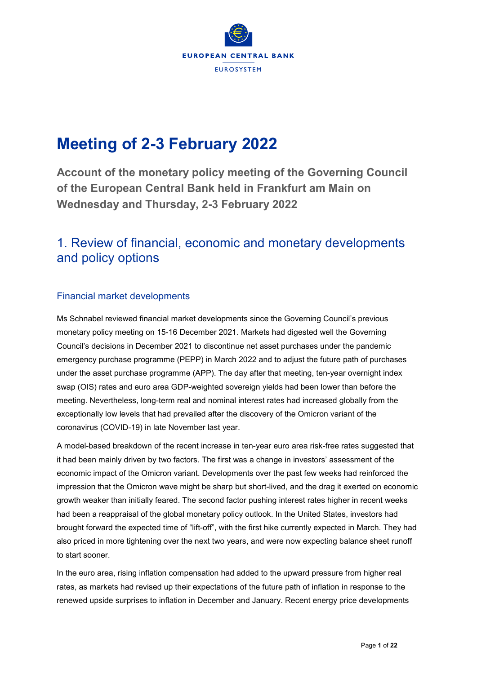

# **Meeting of 2-3 February 2022**

**Account of the monetary policy meeting of the Governing Council of the European Central Bank held in Frankfurt am Main on Wednesday and Thursday, 2-3 February 2022**

## 1. Review of financial, economic and monetary developments and policy options

### Financial market developments

Ms Schnabel reviewed financial market developments since the Governing Council's previous monetary policy meeting on 15-16 December 2021. Markets had digested well the Governing Council's decisions in December 2021 to discontinue net asset purchases under the pandemic emergency purchase programme (PEPP) in March 2022 and to adjust the future path of purchases under the asset purchase programme (APP). The day after that meeting, ten-year overnight index swap (OIS) rates and euro area GDP-weighted sovereign yields had been lower than before the meeting. Nevertheless, long-term real and nominal interest rates had increased globally from the exceptionally low levels that had prevailed after the discovery of the Omicron variant of the coronavirus (COVID-19) in late November last year.

A model-based breakdown of the recent increase in ten-year euro area risk-free rates suggested that it had been mainly driven by two factors. The first was a change in investors' assessment of the economic impact of the Omicron variant. Developments over the past few weeks had reinforced the impression that the Omicron wave might be sharp but short-lived, and the drag it exerted on economic growth weaker than initially feared. The second factor pushing interest rates higher in recent weeks had been a reappraisal of the global monetary policy outlook. In the United States, investors had brought forward the expected time of "lift-off", with the first hike currently expected in March. They had also priced in more tightening over the next two years, and were now expecting balance sheet runoff to start sooner.

In the euro area, rising inflation compensation had added to the upward pressure from higher real rates, as markets had revised up their expectations of the future path of inflation in response to the renewed upside surprises to inflation in December and January. Recent energy price developments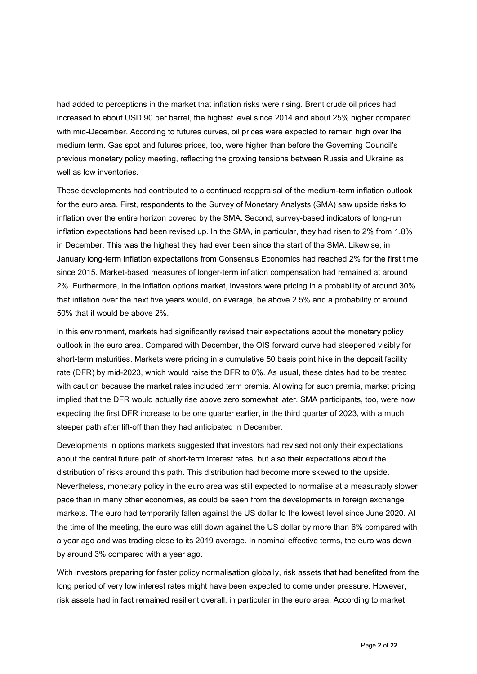had added to perceptions in the market that inflation risks were rising. Brent crude oil prices had increased to about USD 90 per barrel, the highest level since 2014 and about 25% higher compared with mid-December. According to futures curves, oil prices were expected to remain high over the medium term. Gas spot and futures prices, too, were higher than before the Governing Council's previous monetary policy meeting, reflecting the growing tensions between Russia and Ukraine as well as low inventories.

These developments had contributed to a continued reappraisal of the medium-term inflation outlook for the euro area. First, respondents to the Survey of Monetary Analysts (SMA) saw upside risks to inflation over the entire horizon covered by the SMA. Second, survey-based indicators of long-run inflation expectations had been revised up. In the SMA, in particular, they had risen to 2% from 1.8% in December. This was the highest they had ever been since the start of the SMA. Likewise, in January long-term inflation expectations from Consensus Economics had reached 2% for the first time since 2015. Market-based measures of longer-term inflation compensation had remained at around 2%. Furthermore, in the inflation options market, investors were pricing in a probability of around 30% that inflation over the next five years would, on average, be above 2.5% and a probability of around 50% that it would be above 2%.

In this environment, markets had significantly revised their expectations about the monetary policy outlook in the euro area. Compared with December, the OIS forward curve had steepened visibly for short-term maturities. Markets were pricing in a cumulative 50 basis point hike in the deposit facility rate (DFR) by mid-2023, which would raise the DFR to 0%. As usual, these dates had to be treated with caution because the market rates included term premia. Allowing for such premia, market pricing implied that the DFR would actually rise above zero somewhat later. SMA participants, too, were now expecting the first DFR increase to be one quarter earlier, in the third quarter of 2023, with a much steeper path after lift-off than they had anticipated in December.

Developments in options markets suggested that investors had revised not only their expectations about the central future path of short-term interest rates, but also their expectations about the distribution of risks around this path. This distribution had become more skewed to the upside. Nevertheless, monetary policy in the euro area was still expected to normalise at a measurably slower pace than in many other economies, as could be seen from the developments in foreign exchange markets. The euro had temporarily fallen against the US dollar to the lowest level since June 2020. At the time of the meeting, the euro was still down against the US dollar by more than 6% compared with a year ago and was trading close to its 2019 average. In nominal effective terms, the euro was down by around 3% compared with a year ago.

With investors preparing for faster policy normalisation globally, risk assets that had benefited from the long period of very low interest rates might have been expected to come under pressure. However, risk assets had in fact remained resilient overall, in particular in the euro area. According to market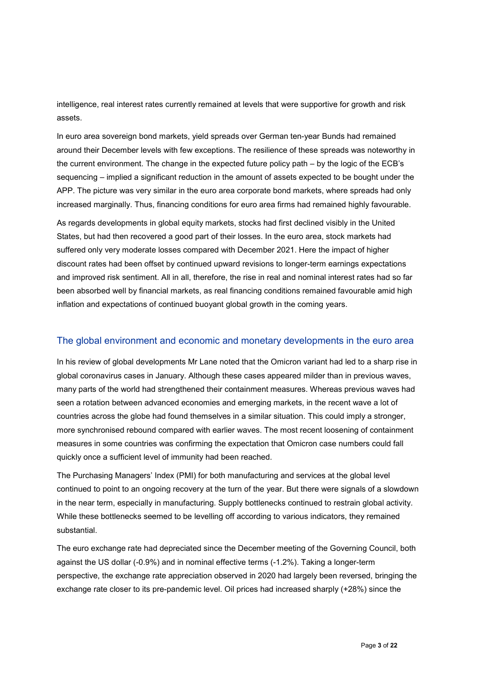intelligence, real interest rates currently remained at levels that were supportive for growth and risk assets.

In euro area sovereign bond markets, yield spreads over German ten-year Bunds had remained around their December levels with few exceptions. The resilience of these spreads was noteworthy in the current environment. The change in the expected future policy path – by the logic of the ECB's sequencing – implied a significant reduction in the amount of assets expected to be bought under the APP. The picture was very similar in the euro area corporate bond markets, where spreads had only increased marginally. Thus, financing conditions for euro area firms had remained highly favourable.

As regards developments in global equity markets, stocks had first declined visibly in the United States, but had then recovered a good part of their losses. In the euro area, stock markets had suffered only very moderate losses compared with December 2021. Here the impact of higher discount rates had been offset by continued upward revisions to longer-term earnings expectations and improved risk sentiment. All in all, therefore, the rise in real and nominal interest rates had so far been absorbed well by financial markets, as real financing conditions remained favourable amid high inflation and expectations of continued buoyant global growth in the coming years.

#### The global environment and economic and monetary developments in the euro area

In his review of global developments Mr Lane noted that the Omicron variant had led to a sharp rise in global coronavirus cases in January. Although these cases appeared milder than in previous waves, many parts of the world had strengthened their containment measures. Whereas previous waves had seen a rotation between advanced economies and emerging markets, in the recent wave a lot of countries across the globe had found themselves in a similar situation. This could imply a stronger, more synchronised rebound compared with earlier waves. The most recent loosening of containment measures in some countries was confirming the expectation that Omicron case numbers could fall quickly once a sufficient level of immunity had been reached.

The Purchasing Managers' Index (PMI) for both manufacturing and services at the global level continued to point to an ongoing recovery at the turn of the year. But there were signals of a slowdown in the near term, especially in manufacturing. Supply bottlenecks continued to restrain global activity. While these bottlenecks seemed to be levelling off according to various indicators, they remained substantial.

The euro exchange rate had depreciated since the December meeting of the Governing Council, both against the US dollar (-0.9%) and in nominal effective terms (-1.2%). Taking a longer-term perspective, the exchange rate appreciation observed in 2020 had largely been reversed, bringing the exchange rate closer to its pre-pandemic level. Oil prices had increased sharply (+28%) since the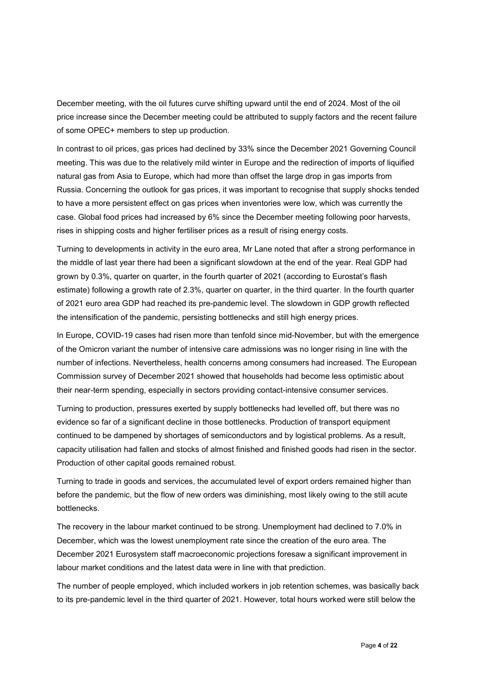December meeting, with the oil futures curve shifting upward until the end of 2024. Most of the oil price increase since the December meeting could be attributed to supply factors and the recent failure of some OPEC+ members to step up production.

In contrast to oil prices, gas prices had declined by 33% since the December 2021 Governing Council meeting. This was due to the relatively mild winter in Europe and the redirection of imports of liquified natural gas from Asia to Europe, which had more than offset the large drop in gas imports from Russia. Concerning the outlook for gas prices, it was important to recognise that supply shocks tended to have a more persistent effect on gas prices when inventories were low, which was currently the case. Global food prices had increased by 6% since the December meeting following poor harvests, rises in shipping costs and higher fertiliser prices as a result of rising energy costs.

Turning to developments in activity in the euro area, Mr Lane noted that after a strong performance in the middle of last year there had been a significant slowdown at the end of the year. Real GDP had grown by 0.3%, quarter on quarter, in the fourth quarter of 2021 (according to Eurostat's flash estimate) following a growth rate of 2.3%, quarter on quarter, in the third quarter. In the fourth quarter of 2021 euro area GDP had reached its pre-pandemic level. The slowdown in GDP growth reflected the intensification of the pandemic, persisting bottlenecks and still high energy prices.

In Europe, COVID-19 cases had risen more than tenfold since mid-November, but with the emergence of the Omicron variant the number of intensive care admissions was no longer rising in line with the number of infections. Nevertheless, health concerns among consumers had increased. The European Commission survey of December 2021 showed that households had become less optimistic about their near-term spending, especially in sectors providing contact-intensive consumer services.

Turning to production, pressures exerted by supply bottlenecks had levelled off, but there was no evidence so far of a significant decline in those bottlenecks. Production of transport equipment continued to be dampened by shortages of semiconductors and by logistical problems. As a result, capacity utilisation had fallen and stocks of almost finished and finished goods had risen in the sector. Production of other capital goods remained robust.

Turning to trade in goods and services, the accumulated level of export orders remained higher than before the pandemic, but the flow of new orders was diminishing, most likely owing to the still acute bottlenecks.

The recovery in the labour market continued to be strong. Unemployment had declined to 7.0% in December, which was the lowest unemployment rate since the creation of the euro area. The December 2021 Eurosystem staff macroeconomic projections foresaw a significant improvement in labour market conditions and the latest data were in line with that prediction.

The number of people employed, which included workers in job retention schemes, was basically back to its pre-pandemic level in the third quarter of 2021. However, total hours worked were still below the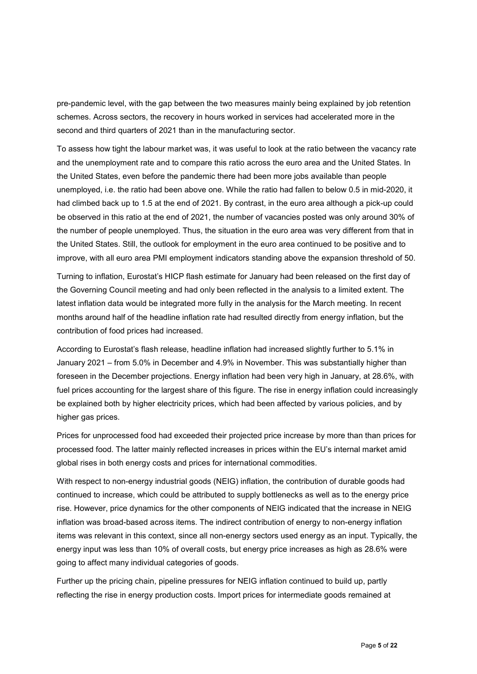pre-pandemic level, with the gap between the two measures mainly being explained by job retention schemes. Across sectors, the recovery in hours worked in services had accelerated more in the second and third quarters of 2021 than in the manufacturing sector.

To assess how tight the labour market was, it was useful to look at the ratio between the vacancy rate and the unemployment rate and to compare this ratio across the euro area and the United States. In the United States, even before the pandemic there had been more jobs available than people unemployed, i.e. the ratio had been above one. While the ratio had fallen to below 0.5 in mid-2020, it had climbed back up to 1.5 at the end of 2021. By contrast, in the euro area although a pick-up could be observed in this ratio at the end of 2021, the number of vacancies posted was only around 30% of the number of people unemployed. Thus, the situation in the euro area was very different from that in the United States. Still, the outlook for employment in the euro area continued to be positive and to improve, with all euro area PMI employment indicators standing above the expansion threshold of 50.

Turning to inflation, Eurostat's HICP flash estimate for January had been released on the first day of the Governing Council meeting and had only been reflected in the analysis to a limited extent. The latest inflation data would be integrated more fully in the analysis for the March meeting. In recent months around half of the headline inflation rate had resulted directly from energy inflation, but the contribution of food prices had increased.

According to Eurostat's flash release, headline inflation had increased slightly further to 5.1% in January 2021 – from 5.0% in December and 4.9% in November. This was substantially higher than foreseen in the December projections. Energy inflation had been very high in January, at 28.6%, with fuel prices accounting for the largest share of this figure. The rise in energy inflation could increasingly be explained both by higher electricity prices, which had been affected by various policies, and by higher gas prices.

Prices for unprocessed food had exceeded their projected price increase by more than than prices for processed food. The latter mainly reflected increases in prices within the EU's internal market amid global rises in both energy costs and prices for international commodities.

With respect to non-energy industrial goods (NEIG) inflation, the contribution of durable goods had continued to increase, which could be attributed to supply bottlenecks as well as to the energy price rise. However, price dynamics for the other components of NEIG indicated that the increase in NEIG inflation was broad-based across items. The indirect contribution of energy to non-energy inflation items was relevant in this context, since all non-energy sectors used energy as an input. Typically, the energy input was less than 10% of overall costs, but energy price increases as high as 28.6% were going to affect many individual categories of goods.

Further up the pricing chain, pipeline pressures for NEIG inflation continued to build up, partly reflecting the rise in energy production costs. Import prices for intermediate goods remained at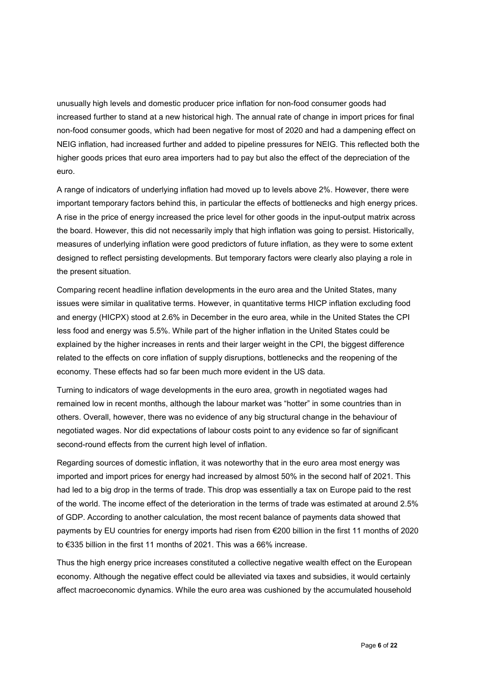unusually high levels and domestic producer price inflation for non-food consumer goods had increased further to stand at a new historical high. The annual rate of change in import prices for final non-food consumer goods, which had been negative for most of 2020 and had a dampening effect on NEIG inflation, had increased further and added to pipeline pressures for NEIG. This reflected both the higher goods prices that euro area importers had to pay but also the effect of the depreciation of the euro.

A range of indicators of underlying inflation had moved up to levels above 2%. However, there were important temporary factors behind this, in particular the effects of bottlenecks and high energy prices. A rise in the price of energy increased the price level for other goods in the input-output matrix across the board. However, this did not necessarily imply that high inflation was going to persist. Historically, measures of underlying inflation were good predictors of future inflation, as they were to some extent designed to reflect persisting developments. But temporary factors were clearly also playing a role in the present situation.

Comparing recent headline inflation developments in the euro area and the United States, many issues were similar in qualitative terms. However, in quantitative terms HICP inflation excluding food and energy (HICPX) stood at 2.6% in December in the euro area, while in the United States the CPI less food and energy was 5.5%. While part of the higher inflation in the United States could be explained by the higher increases in rents and their larger weight in the CPI, the biggest difference related to the effects on core inflation of supply disruptions, bottlenecks and the reopening of the economy. These effects had so far been much more evident in the US data.

Turning to indicators of wage developments in the euro area, growth in negotiated wages had remained low in recent months, although the labour market was "hotter" in some countries than in others. Overall, however, there was no evidence of any big structural change in the behaviour of negotiated wages. Nor did expectations of labour costs point to any evidence so far of significant second-round effects from the current high level of inflation.

Regarding sources of domestic inflation, it was noteworthy that in the euro area most energy was imported and import prices for energy had increased by almost 50% in the second half of 2021. This had led to a big drop in the terms of trade. This drop was essentially a tax on Europe paid to the rest of the world. The income effect of the deterioration in the terms of trade was estimated at around 2.5% of GDP. According to another calculation, the most recent balance of payments data showed that payments by EU countries for energy imports had risen from €200 billion in the first 11 months of 2020 to €335 billion in the first 11 months of 2021. This was a 66% increase.

Thus the high energy price increases constituted a collective negative wealth effect on the European economy. Although the negative effect could be alleviated via taxes and subsidies, it would certainly affect macroeconomic dynamics. While the euro area was cushioned by the accumulated household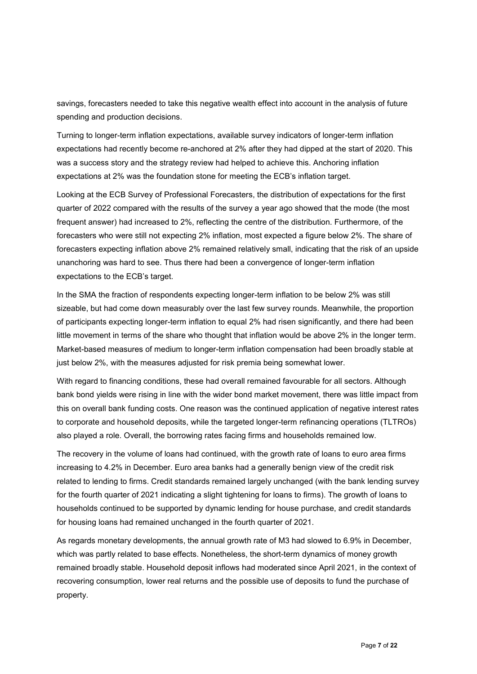savings, forecasters needed to take this negative wealth effect into account in the analysis of future spending and production decisions.

Turning to longer-term inflation expectations, available survey indicators of longer-term inflation expectations had recently become re-anchored at 2% after they had dipped at the start of 2020. This was a success story and the strategy review had helped to achieve this. Anchoring inflation expectations at 2% was the foundation stone for meeting the ECB's inflation target.

Looking at the ECB Survey of Professional Forecasters, the distribution of expectations for the first quarter of 2022 compared with the results of the survey a year ago showed that the mode (the most frequent answer) had increased to 2%, reflecting the centre of the distribution. Furthermore, of the forecasters who were still not expecting 2% inflation, most expected a figure below 2%. The share of forecasters expecting inflation above 2% remained relatively small, indicating that the risk of an upside unanchoring was hard to see. Thus there had been a convergence of longer-term inflation expectations to the ECB's target.

In the SMA the fraction of respondents expecting longer-term inflation to be below 2% was still sizeable, but had come down measurably over the last few survey rounds. Meanwhile, the proportion of participants expecting longer-term inflation to equal 2% had risen significantly, and there had been little movement in terms of the share who thought that inflation would be above 2% in the longer term. Market-based measures of medium to longer-term inflation compensation had been broadly stable at just below 2%, with the measures adjusted for risk premia being somewhat lower.

With regard to financing conditions, these had overall remained favourable for all sectors. Although bank bond yields were rising in line with the wider bond market movement, there was little impact from this on overall bank funding costs. One reason was the continued application of negative interest rates to corporate and household deposits, while the targeted longer-term refinancing operations (TLTROs) also played a role. Overall, the borrowing rates facing firms and households remained low.

The recovery in the volume of loans had continued, with the growth rate of loans to euro area firms increasing to 4.2% in December. Euro area banks had a generally benign view of the credit risk related to lending to firms. Credit standards remained largely unchanged (with the bank lending survey for the fourth quarter of 2021 indicating a slight tightening for loans to firms). The growth of loans to households continued to be supported by dynamic lending for house purchase, and credit standards for housing loans had remained unchanged in the fourth quarter of 2021.

As regards monetary developments, the annual growth rate of M3 had slowed to 6.9% in December, which was partly related to base effects. Nonetheless, the short-term dynamics of money growth remained broadly stable. Household deposit inflows had moderated since April 2021, in the context of recovering consumption, lower real returns and the possible use of deposits to fund the purchase of property.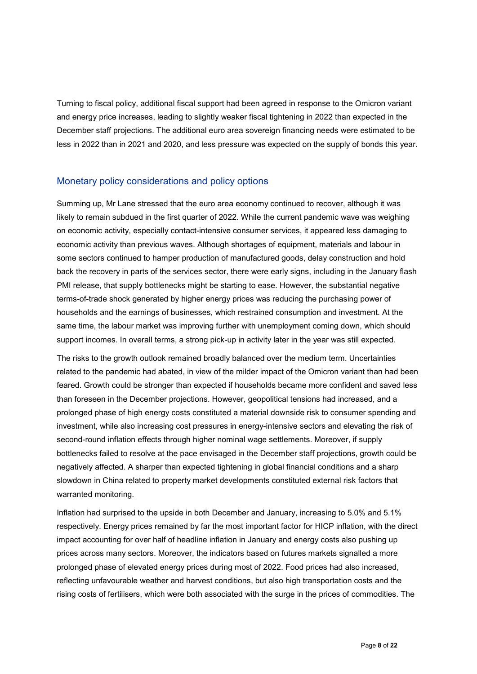Turning to fiscal policy, additional fiscal support had been agreed in response to the Omicron variant and energy price increases, leading to slightly weaker fiscal tightening in 2022 than expected in the December staff projections. The additional euro area sovereign financing needs were estimated to be less in 2022 than in 2021 and 2020, and less pressure was expected on the supply of bonds this year.

#### Monetary policy considerations and policy options

Summing up, Mr Lane stressed that the euro area economy continued to recover, although it was likely to remain subdued in the first quarter of 2022. While the current pandemic wave was weighing on economic activity, especially contact-intensive consumer services, it appeared less damaging to economic activity than previous waves. Although shortages of equipment, materials and labour in some sectors continued to hamper production of manufactured goods, delay construction and hold back the recovery in parts of the services sector, there were early signs, including in the January flash PMI release, that supply bottlenecks might be starting to ease. However, the substantial negative terms-of-trade shock generated by higher energy prices was reducing the purchasing power of households and the earnings of businesses, which restrained consumption and investment. At the same time, the labour market was improving further with unemployment coming down, which should support incomes. In overall terms, a strong pick-up in activity later in the year was still expected.

The risks to the growth outlook remained broadly balanced over the medium term. Uncertainties related to the pandemic had abated, in view of the milder impact of the Omicron variant than had been feared. Growth could be stronger than expected if households became more confident and saved less than foreseen in the December projections. However, geopolitical tensions had increased, and a prolonged phase of high energy costs constituted a material downside risk to consumer spending and investment, while also increasing cost pressures in energy-intensive sectors and elevating the risk of second-round inflation effects through higher nominal wage settlements. Moreover, if supply bottlenecks failed to resolve at the pace envisaged in the December staff projections, growth could be negatively affected. A sharper than expected tightening in global financial conditions and a sharp slowdown in China related to property market developments constituted external risk factors that warranted monitoring.

Inflation had surprised to the upside in both December and January, increasing to 5.0% and 5.1% respectively. Energy prices remained by far the most important factor for HICP inflation, with the direct impact accounting for over half of headline inflation in January and energy costs also pushing up prices across many sectors. Moreover, the indicators based on futures markets signalled a more prolonged phase of elevated energy prices during most of 2022. Food prices had also increased, reflecting unfavourable weather and harvest conditions, but also high transportation costs and the rising costs of fertilisers, which were both associated with the surge in the prices of commodities. The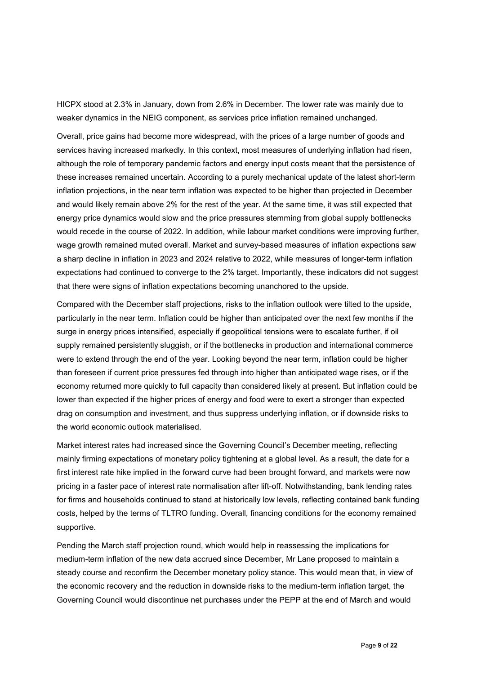HICPX stood at 2.3% in January, down from 2.6% in December. The lower rate was mainly due to weaker dynamics in the NEIG component, as services price inflation remained unchanged.

Overall, price gains had become more widespread, with the prices of a large number of goods and services having increased markedly. In this context, most measures of underlying inflation had risen, although the role of temporary pandemic factors and energy input costs meant that the persistence of these increases remained uncertain. According to a purely mechanical update of the latest short-term inflation projections, in the near term inflation was expected to be higher than projected in December and would likely remain above 2% for the rest of the year. At the same time, it was still expected that energy price dynamics would slow and the price pressures stemming from global supply bottlenecks would recede in the course of 2022. In addition, while labour market conditions were improving further, wage growth remained muted overall. Market and survey-based measures of inflation expections saw a sharp decline in inflation in 2023 and 2024 relative to 2022, while measures of longer-term inflation expectations had continued to converge to the 2% target. Importantly, these indicators did not suggest that there were signs of inflation expectations becoming unanchored to the upside.

Compared with the December staff projections, risks to the inflation outlook were tilted to the upside, particularly in the near term. Inflation could be higher than anticipated over the next few months if the surge in energy prices intensified, especially if geopolitical tensions were to escalate further, if oil supply remained persistently sluggish, or if the bottlenecks in production and international commerce were to extend through the end of the year. Looking beyond the near term, inflation could be higher than foreseen if current price pressures fed through into higher than anticipated wage rises, or if the economy returned more quickly to full capacity than considered likely at present. But inflation could be lower than expected if the higher prices of energy and food were to exert a stronger than expected drag on consumption and investment, and thus suppress underlying inflation, or if downside risks to the world economic outlook materialised.

Market interest rates had increased since the Governing Council's December meeting, reflecting mainly firming expectations of monetary policy tightening at a global level. As a result, the date for a first interest rate hike implied in the forward curve had been brought forward, and markets were now pricing in a faster pace of interest rate normalisation after lift-off. Notwithstanding, bank lending rates for firms and households continued to stand at historically low levels, reflecting contained bank funding costs, helped by the terms of TLTRO funding. Overall, financing conditions for the economy remained supportive.

Pending the March staff projection round, which would help in reassessing the implications for medium-term inflation of the new data accrued since December, Mr Lane proposed to maintain a steady course and reconfirm the December monetary policy stance. This would mean that, in view of the economic recovery and the reduction in downside risks to the medium-term inflation target, the Governing Council would discontinue net purchases under the PEPP at the end of March and would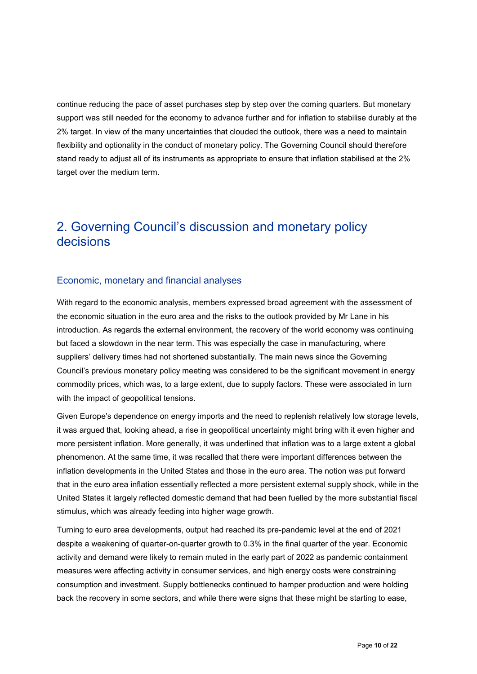continue reducing the pace of asset purchases step by step over the coming quarters. But monetary support was still needed for the economy to advance further and for inflation to stabilise durably at the 2% target. In view of the many uncertainties that clouded the outlook, there was a need to maintain flexibility and optionality in the conduct of monetary policy. The Governing Council should therefore stand ready to adjust all of its instruments as appropriate to ensure that inflation stabilised at the 2% target over the medium term.

### 2. Governing Council's discussion and monetary policy decisions

#### Economic, monetary and financial analyses

With regard to the economic analysis, members expressed broad agreement with the assessment of the economic situation in the euro area and the risks to the outlook provided by Mr Lane in his introduction. As regards the external environment, the recovery of the world economy was continuing but faced a slowdown in the near term. This was especially the case in manufacturing, where suppliers' delivery times had not shortened substantially. The main news since the Governing Council's previous monetary policy meeting was considered to be the significant movement in energy commodity prices, which was, to a large extent, due to supply factors. These were associated in turn with the impact of geopolitical tensions.

Given Europe's dependence on energy imports and the need to replenish relatively low storage levels, it was argued that, looking ahead, a rise in geopolitical uncertainty might bring with it even higher and more persistent inflation. More generally, it was underlined that inflation was to a large extent a global phenomenon. At the same time, it was recalled that there were important differences between the inflation developments in the United States and those in the euro area. The notion was put forward that in the euro area inflation essentially reflected a more persistent external supply shock, while in the United States it largely reflected domestic demand that had been fuelled by the more substantial fiscal stimulus, which was already feeding into higher wage growth.

Turning to euro area developments, output had reached its pre-pandemic level at the end of 2021 despite a weakening of quarter-on-quarter growth to 0.3% in the final quarter of the year. Economic activity and demand were likely to remain muted in the early part of 2022 as pandemic containment measures were affecting activity in consumer services, and high energy costs were constraining consumption and investment. Supply bottlenecks continued to hamper production and were holding back the recovery in some sectors, and while there were signs that these might be starting to ease,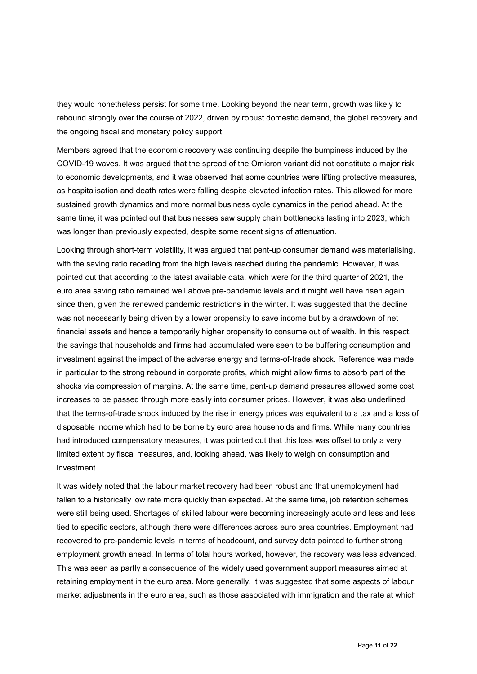they would nonetheless persist for some time. Looking beyond the near term, growth was likely to rebound strongly over the course of 2022, driven by robust domestic demand, the global recovery and the ongoing fiscal and monetary policy support.

Members agreed that the economic recovery was continuing despite the bumpiness induced by the COVID-19 waves. It was argued that the spread of the Omicron variant did not constitute a major risk to economic developments, and it was observed that some countries were lifting protective measures, as hospitalisation and death rates were falling despite elevated infection rates. This allowed for more sustained growth dynamics and more normal business cycle dynamics in the period ahead. At the same time, it was pointed out that businesses saw supply chain bottlenecks lasting into 2023, which was longer than previously expected, despite some recent signs of attenuation.

Looking through short-term volatility, it was argued that pent-up consumer demand was materialising, with the saving ratio receding from the high levels reached during the pandemic. However, it was pointed out that according to the latest available data, which were for the third quarter of 2021, the euro area saving ratio remained well above pre-pandemic levels and it might well have risen again since then, given the renewed pandemic restrictions in the winter. It was suggested that the decline was not necessarily being driven by a lower propensity to save income but by a drawdown of net financial assets and hence a temporarily higher propensity to consume out of wealth. In this respect, the savings that households and firms had accumulated were seen to be buffering consumption and investment against the impact of the adverse energy and terms-of-trade shock. Reference was made in particular to the strong rebound in corporate profits, which might allow firms to absorb part of the shocks via compression of margins. At the same time, pent-up demand pressures allowed some cost increases to be passed through more easily into consumer prices. However, it was also underlined that the terms-of-trade shock induced by the rise in energy prices was equivalent to a tax and a loss of disposable income which had to be borne by euro area households and firms. While many countries had introduced compensatory measures, it was pointed out that this loss was offset to only a very limited extent by fiscal measures, and, looking ahead, was likely to weigh on consumption and investment.

It was widely noted that the labour market recovery had been robust and that unemployment had fallen to a historically low rate more quickly than expected. At the same time, job retention schemes were still being used. Shortages of skilled labour were becoming increasingly acute and less and less tied to specific sectors, although there were differences across euro area countries. Employment had recovered to pre-pandemic levels in terms of headcount, and survey data pointed to further strong employment growth ahead. In terms of total hours worked, however, the recovery was less advanced. This was seen as partly a consequence of the widely used government support measures aimed at retaining employment in the euro area. More generally, it was suggested that some aspects of labour market adjustments in the euro area, such as those associated with immigration and the rate at which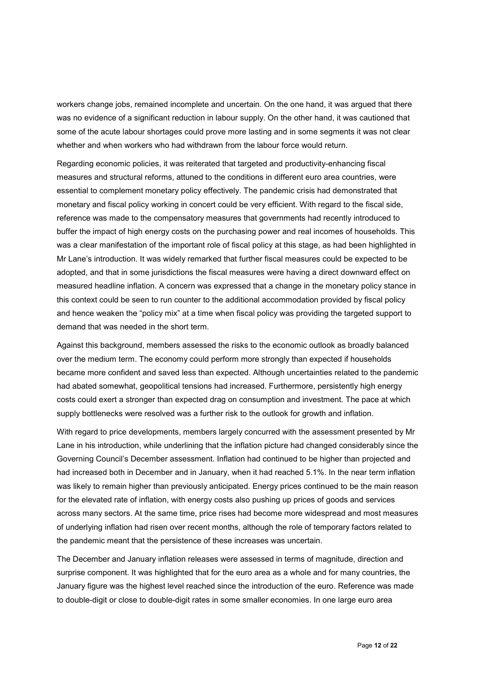workers change jobs, remained incomplete and uncertain. On the one hand, it was argued that there was no evidence of a significant reduction in labour supply. On the other hand, it was cautioned that some of the acute labour shortages could prove more lasting and in some segments it was not clear whether and when workers who had withdrawn from the labour force would return.

Regarding economic policies, it was reiterated that targeted and productivity-enhancing fiscal measures and structural reforms, attuned to the conditions in different euro area countries, were essential to complement monetary policy effectively. The pandemic crisis had demonstrated that monetary and fiscal policy working in concert could be very efficient. With regard to the fiscal side, reference was made to the compensatory measures that governments had recently introduced to buffer the impact of high energy costs on the purchasing power and real incomes of households. This was a clear manifestation of the important role of fiscal policy at this stage, as had been highlighted in Mr Lane's introduction. It was widely remarked that further fiscal measures could be expected to be adopted, and that in some jurisdictions the fiscal measures were having a direct downward effect on measured headline inflation. A concern was expressed that a change in the monetary policy stance in this context could be seen to run counter to the additional accommodation provided by fiscal policy and hence weaken the "policy mix" at a time when fiscal policy was providing the targeted support to demand that was needed in the short term.

Against this background, members assessed the risks to the economic outlook as broadly balanced over the medium term. The economy could perform more strongly than expected if households became more confident and saved less than expected. Although uncertainties related to the pandemic had abated somewhat, geopolitical tensions had increased. Furthermore, persistently high energy costs could exert a stronger than expected drag on consumption and investment. The pace at which supply bottlenecks were resolved was a further risk to the outlook for growth and inflation.

With regard to price developments, members largely concurred with the assessment presented by Mr Lane in his introduction, while underlining that the inflation picture had changed considerably since the Governing Council's December assessment. Inflation had continued to be higher than projected and had increased both in December and in January, when it had reached 5.1%. In the near term inflation was likely to remain higher than previously anticipated. Energy prices continued to be the main reason for the elevated rate of inflation, with energy costs also pushing up prices of goods and services across many sectors. At the same time, price rises had become more widespread and most measures of underlying inflation had risen over recent months, although the role of temporary factors related to the pandemic meant that the persistence of these increases was uncertain.

The December and January inflation releases were assessed in terms of magnitude, direction and surprise component. It was highlighted that for the euro area as a whole and for many countries, the January figure was the highest level reached since the introduction of the euro. Reference was made to double-digit or close to double-digit rates in some smaller economies. In one large euro area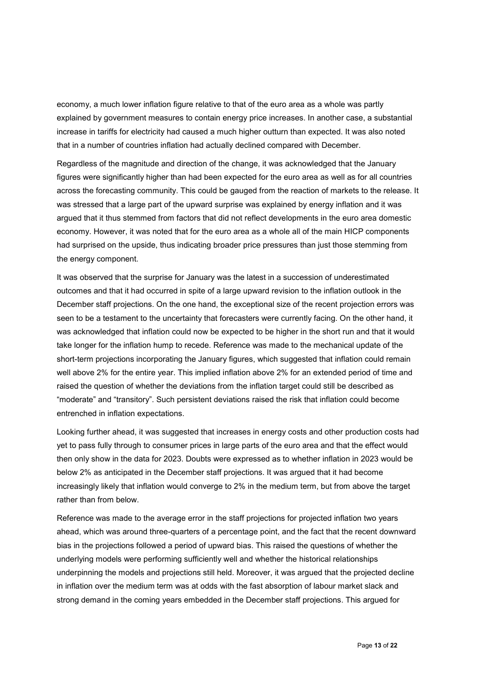economy, a much lower inflation figure relative to that of the euro area as a whole was partly explained by government measures to contain energy price increases. In another case, a substantial increase in tariffs for electricity had caused a much higher outturn than expected. It was also noted that in a number of countries inflation had actually declined compared with December.

Regardless of the magnitude and direction of the change, it was acknowledged that the January figures were significantly higher than had been expected for the euro area as well as for all countries across the forecasting community. This could be gauged from the reaction of markets to the release. It was stressed that a large part of the upward surprise was explained by energy inflation and it was argued that it thus stemmed from factors that did not reflect developments in the euro area domestic economy. However, it was noted that for the euro area as a whole all of the main HICP components had surprised on the upside, thus indicating broader price pressures than just those stemming from the energy component.

It was observed that the surprise for January was the latest in a succession of underestimated outcomes and that it had occurred in spite of a large upward revision to the inflation outlook in the December staff projections. On the one hand, the exceptional size of the recent projection errors was seen to be a testament to the uncertainty that forecasters were currently facing. On the other hand, it was acknowledged that inflation could now be expected to be higher in the short run and that it would take longer for the inflation hump to recede. Reference was made to the mechanical update of the short-term projections incorporating the January figures, which suggested that inflation could remain well above 2% for the entire year. This implied inflation above 2% for an extended period of time and raised the question of whether the deviations from the inflation target could still be described as "moderate" and "transitory". Such persistent deviations raised the risk that inflation could become entrenched in inflation expectations.

Looking further ahead, it was suggested that increases in energy costs and other production costs had yet to pass fully through to consumer prices in large parts of the euro area and that the effect would then only show in the data for 2023. Doubts were expressed as to whether inflation in 2023 would be below 2% as anticipated in the December staff projections. It was argued that it had become increasingly likely that inflation would converge to 2% in the medium term, but from above the target rather than from below.

Reference was made to the average error in the staff projections for projected inflation two years ahead, which was around three-quarters of a percentage point, and the fact that the recent downward bias in the projections followed a period of upward bias. This raised the questions of whether the underlying models were performing sufficiently well and whether the historical relationships underpinning the models and projections still held. Moreover, it was argued that the projected decline in inflation over the medium term was at odds with the fast absorption of labour market slack and strong demand in the coming years embedded in the December staff projections. This argued for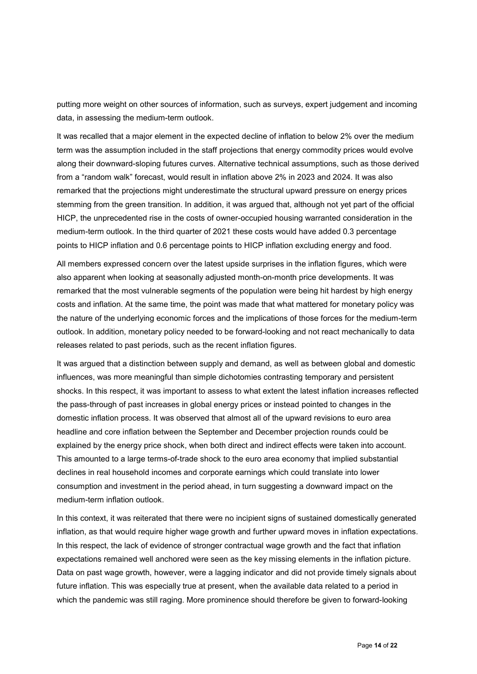putting more weight on other sources of information, such as surveys, expert judgement and incoming data, in assessing the medium-term outlook.

It was recalled that a major element in the expected decline of inflation to below 2% over the medium term was the assumption included in the staff projections that energy commodity prices would evolve along their downward-sloping futures curves. Alternative technical assumptions, such as those derived from a "random walk" forecast, would result in inflation above 2% in 2023 and 2024. It was also remarked that the projections might underestimate the structural upward pressure on energy prices stemming from the green transition. In addition, it was argued that, although not yet part of the official HICP, the unprecedented rise in the costs of owner-occupied housing warranted consideration in the medium-term outlook. In the third quarter of 2021 these costs would have added 0.3 percentage points to HICP inflation and 0.6 percentage points to HICP inflation excluding energy and food.

All members expressed concern over the latest upside surprises in the inflation figures, which were also apparent when looking at seasonally adjusted month-on-month price developments. It was remarked that the most vulnerable segments of the population were being hit hardest by high energy costs and inflation. At the same time, the point was made that what mattered for monetary policy was the nature of the underlying economic forces and the implications of those forces for the medium-term outlook. In addition, monetary policy needed to be forward-looking and not react mechanically to data releases related to past periods, such as the recent inflation figures.

It was argued that a distinction between supply and demand, as well as between global and domestic influences, was more meaningful than simple dichotomies contrasting temporary and persistent shocks. In this respect, it was important to assess to what extent the latest inflation increases reflected the pass-through of past increases in global energy prices or instead pointed to changes in the domestic inflation process. It was observed that almost all of the upward revisions to euro area headline and core inflation between the September and December projection rounds could be explained by the energy price shock, when both direct and indirect effects were taken into account. This amounted to a large terms-of-trade shock to the euro area economy that implied substantial declines in real household incomes and corporate earnings which could translate into lower consumption and investment in the period ahead, in turn suggesting a downward impact on the medium-term inflation outlook.

In this context, it was reiterated that there were no incipient signs of sustained domestically generated inflation, as that would require higher wage growth and further upward moves in inflation expectations. In this respect, the lack of evidence of stronger contractual wage growth and the fact that inflation expectations remained well anchored were seen as the key missing elements in the inflation picture. Data on past wage growth, however, were a lagging indicator and did not provide timely signals about future inflation. This was especially true at present, when the available data related to a period in which the pandemic was still raging. More prominence should therefore be given to forward-looking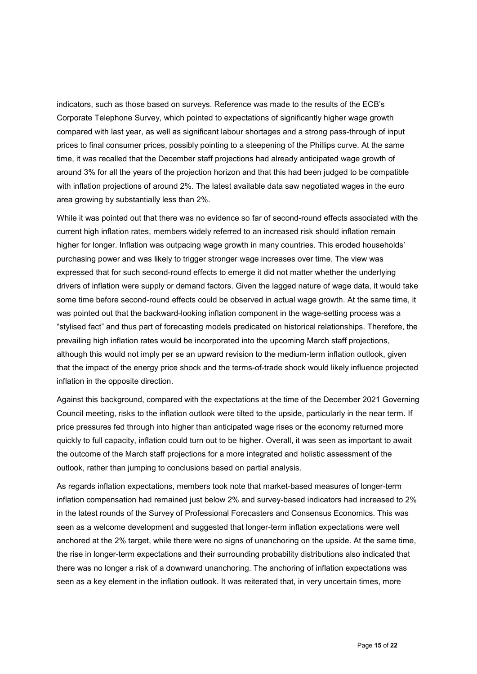indicators, such as those based on surveys. Reference was made to the results of the ECB's Corporate Telephone Survey, which pointed to expectations of significantly higher wage growth compared with last year, as well as significant labour shortages and a strong pass-through of input prices to final consumer prices, possibly pointing to a steepening of the Phillips curve. At the same time, it was recalled that the December staff projections had already anticipated wage growth of around 3% for all the years of the projection horizon and that this had been judged to be compatible with inflation projections of around 2%. The latest available data saw negotiated wages in the euro area growing by substantially less than 2%.

While it was pointed out that there was no evidence so far of second-round effects associated with the current high inflation rates, members widely referred to an increased risk should inflation remain higher for longer. Inflation was outpacing wage growth in many countries. This eroded households' purchasing power and was likely to trigger stronger wage increases over time. The view was expressed that for such second-round effects to emerge it did not matter whether the underlying drivers of inflation were supply or demand factors. Given the lagged nature of wage data, it would take some time before second-round effects could be observed in actual wage growth. At the same time, it was pointed out that the backward-looking inflation component in the wage-setting process was a "stylised fact" and thus part of forecasting models predicated on historical relationships. Therefore, the prevailing high inflation rates would be incorporated into the upcoming March staff projections, although this would not imply per se an upward revision to the medium-term inflation outlook, given that the impact of the energy price shock and the terms-of-trade shock would likely influence projected inflation in the opposite direction.

Against this background, compared with the expectations at the time of the December 2021 Governing Council meeting, risks to the inflation outlook were tilted to the upside, particularly in the near term. If price pressures fed through into higher than anticipated wage rises or the economy returned more quickly to full capacity, inflation could turn out to be higher. Overall, it was seen as important to await the outcome of the March staff projections for a more integrated and holistic assessment of the outlook, rather than jumping to conclusions based on partial analysis.

As regards inflation expectations, members took note that market-based measures of longer-term inflation compensation had remained just below 2% and survey-based indicators had increased to 2% in the latest rounds of the Survey of Professional Forecasters and Consensus Economics. This was seen as a welcome development and suggested that longer-term inflation expectations were well anchored at the 2% target, while there were no signs of unanchoring on the upside. At the same time, the rise in longer-term expectations and their surrounding probability distributions also indicated that there was no longer a risk of a downward unanchoring. The anchoring of inflation expectations was seen as a key element in the inflation outlook. It was reiterated that, in very uncertain times, more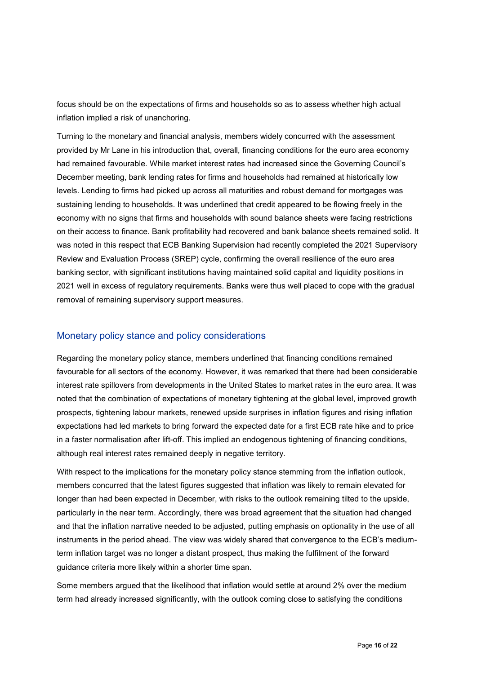focus should be on the expectations of firms and households so as to assess whether high actual inflation implied a risk of unanchoring.

Turning to the monetary and financial analysis, members widely concurred with the assessment provided by Mr Lane in his introduction that, overall, financing conditions for the euro area economy had remained favourable. While market interest rates had increased since the Governing Council's December meeting, bank lending rates for firms and households had remained at historically low levels. Lending to firms had picked up across all maturities and robust demand for mortgages was sustaining lending to households. It was underlined that credit appeared to be flowing freely in the economy with no signs that firms and households with sound balance sheets were facing restrictions on their access to finance. Bank profitability had recovered and bank balance sheets remained solid. It was noted in this respect that ECB Banking Supervision had recently completed the 2021 Supervisory Review and Evaluation Process (SREP) cycle, confirming the overall resilience of the euro area banking sector, with significant institutions having maintained solid capital and liquidity positions in 2021 well in excess of regulatory requirements. Banks were thus well placed to cope with the gradual removal of remaining supervisory support measures.

#### Monetary policy stance and policy considerations

Regarding the monetary policy stance, members underlined that financing conditions remained favourable for all sectors of the economy. However, it was remarked that there had been considerable interest rate spillovers from developments in the United States to market rates in the euro area. It was noted that the combination of expectations of monetary tightening at the global level, improved growth prospects, tightening labour markets, renewed upside surprises in inflation figures and rising inflation expectations had led markets to bring forward the expected date for a first ECB rate hike and to price in a faster normalisation after lift-off. This implied an endogenous tightening of financing conditions, although real interest rates remained deeply in negative territory.

With respect to the implications for the monetary policy stance stemming from the inflation outlook, members concurred that the latest figures suggested that inflation was likely to remain elevated for longer than had been expected in December, with risks to the outlook remaining tilted to the upside, particularly in the near term. Accordingly, there was broad agreement that the situation had changed and that the inflation narrative needed to be adjusted, putting emphasis on optionality in the use of all instruments in the period ahead. The view was widely shared that convergence to the ECB's mediumterm inflation target was no longer a distant prospect, thus making the fulfilment of the forward guidance criteria more likely within a shorter time span.

Some members argued that the likelihood that inflation would settle at around 2% over the medium term had already increased significantly, with the outlook coming close to satisfying the conditions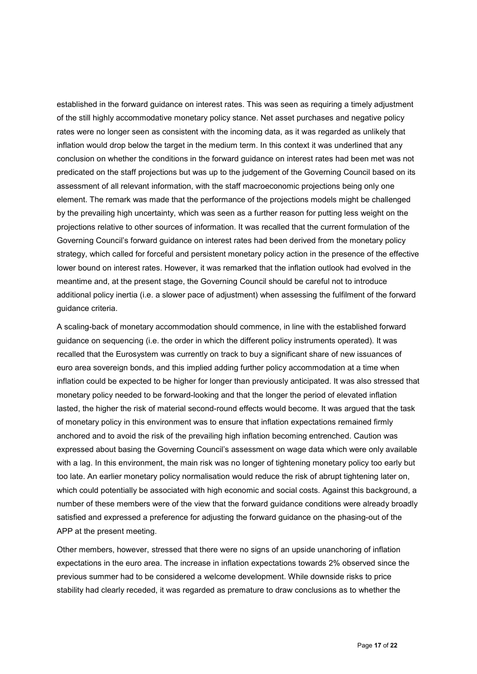established in the forward guidance on interest rates. This was seen as requiring a timely adjustment of the still highly accommodative monetary policy stance. Net asset purchases and negative policy rates were no longer seen as consistent with the incoming data, as it was regarded as unlikely that inflation would drop below the target in the medium term. In this context it was underlined that any conclusion on whether the conditions in the forward guidance on interest rates had been met was not predicated on the staff projections but was up to the judgement of the Governing Council based on its assessment of all relevant information, with the staff macroeconomic projections being only one element. The remark was made that the performance of the projections models might be challenged by the prevailing high uncertainty, which was seen as a further reason for putting less weight on the projections relative to other sources of information. It was recalled that the current formulation of the Governing Council's forward guidance on interest rates had been derived from the monetary policy strategy, which called for forceful and persistent monetary policy action in the presence of the effective lower bound on interest rates. However, it was remarked that the inflation outlook had evolved in the meantime and, at the present stage, the Governing Council should be careful not to introduce additional policy inertia (i.e. a slower pace of adjustment) when assessing the fulfilment of the forward guidance criteria.

A scaling-back of monetary accommodation should commence, in line with the established forward guidance on sequencing (i.e. the order in which the different policy instruments operated). It was recalled that the Eurosystem was currently on track to buy a significant share of new issuances of euro area sovereign bonds, and this implied adding further policy accommodation at a time when inflation could be expected to be higher for longer than previously anticipated. It was also stressed that monetary policy needed to be forward-looking and that the longer the period of elevated inflation lasted, the higher the risk of material second-round effects would become. It was argued that the task of monetary policy in this environment was to ensure that inflation expectations remained firmly anchored and to avoid the risk of the prevailing high inflation becoming entrenched. Caution was expressed about basing the Governing Council's assessment on wage data which were only available with a lag. In this environment, the main risk was no longer of tightening monetary policy too early but too late. An earlier monetary policy normalisation would reduce the risk of abrupt tightening later on, which could potentially be associated with high economic and social costs. Against this background, a number of these members were of the view that the forward guidance conditions were already broadly satisfied and expressed a preference for adjusting the forward guidance on the phasing-out of the APP at the present meeting.

Other members, however, stressed that there were no signs of an upside unanchoring of inflation expectations in the euro area. The increase in inflation expectations towards 2% observed since the previous summer had to be considered a welcome development. While downside risks to price stability had clearly receded, it was regarded as premature to draw conclusions as to whether the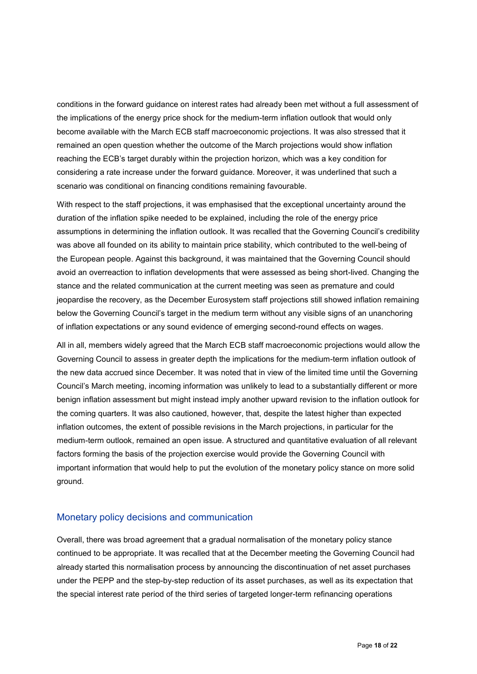conditions in the forward guidance on interest rates had already been met without a full assessment of the implications of the energy price shock for the medium-term inflation outlook that would only become available with the March ECB staff macroeconomic projections. It was also stressed that it remained an open question whether the outcome of the March projections would show inflation reaching the ECB's target durably within the projection horizon, which was a key condition for considering a rate increase under the forward guidance. Moreover, it was underlined that such a scenario was conditional on financing conditions remaining favourable.

With respect to the staff projections, it was emphasised that the exceptional uncertainty around the duration of the inflation spike needed to be explained, including the role of the energy price assumptions in determining the inflation outlook. It was recalled that the Governing Council's credibility was above all founded on its ability to maintain price stability, which contributed to the well-being of the European people. Against this background, it was maintained that the Governing Council should avoid an overreaction to inflation developments that were assessed as being short-lived. Changing the stance and the related communication at the current meeting was seen as premature and could jeopardise the recovery, as the December Eurosystem staff projections still showed inflation remaining below the Governing Council's target in the medium term without any visible signs of an unanchoring of inflation expectations or any sound evidence of emerging second-round effects on wages.

All in all, members widely agreed that the March ECB staff macroeconomic projections would allow the Governing Council to assess in greater depth the implications for the medium-term inflation outlook of the new data accrued since December. It was noted that in view of the limited time until the Governing Council's March meeting, incoming information was unlikely to lead to a substantially different or more benign inflation assessment but might instead imply another upward revision to the inflation outlook for the coming quarters. It was also cautioned, however, that, despite the latest higher than expected inflation outcomes, the extent of possible revisions in the March projections, in particular for the medium-term outlook, remained an open issue. A structured and quantitative evaluation of all relevant factors forming the basis of the projection exercise would provide the Governing Council with important information that would help to put the evolution of the monetary policy stance on more solid ground.

#### Monetary policy decisions and communication

Overall, there was broad agreement that a gradual normalisation of the monetary policy stance continued to be appropriate. It was recalled that at the December meeting the Governing Council had already started this normalisation process by announcing the discontinuation of net asset purchases under the PEPP and the step-by-step reduction of its asset purchases, as well as its expectation that the special interest rate period of the third series of targeted longer-term refinancing operations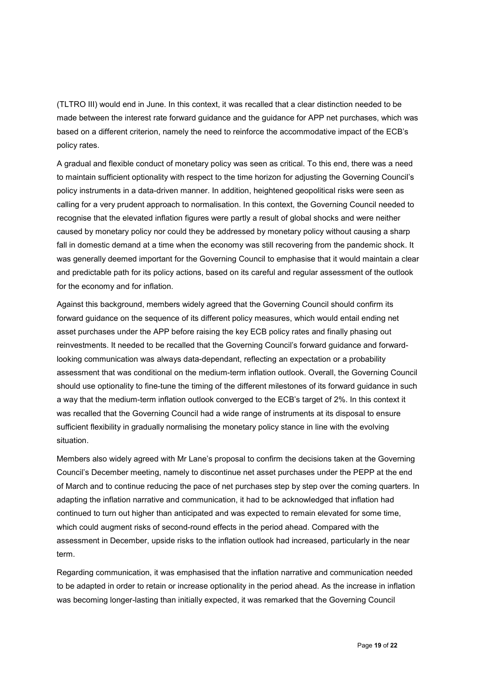(TLTRO III) would end in June. In this context, it was recalled that a clear distinction needed to be made between the interest rate forward guidance and the guidance for APP net purchases, which was based on a different criterion, namely the need to reinforce the accommodative impact of the ECB's policy rates.

A gradual and flexible conduct of monetary policy was seen as critical. To this end, there was a need to maintain sufficient optionality with respect to the time horizon for adjusting the Governing Council's policy instruments in a data-driven manner. In addition, heightened geopolitical risks were seen as calling for a very prudent approach to normalisation. In this context, the Governing Council needed to recognise that the elevated inflation figures were partly a result of global shocks and were neither caused by monetary policy nor could they be addressed by monetary policy without causing a sharp fall in domestic demand at a time when the economy was still recovering from the pandemic shock. It was generally deemed important for the Governing Council to emphasise that it would maintain a clear and predictable path for its policy actions, based on its careful and regular assessment of the outlook for the economy and for inflation.

Against this background, members widely agreed that the Governing Council should confirm its forward guidance on the sequence of its different policy measures, which would entail ending net asset purchases under the APP before raising the key ECB policy rates and finally phasing out reinvestments. It needed to be recalled that the Governing Council's forward guidance and forwardlooking communication was always data-dependant, reflecting an expectation or a probability assessment that was conditional on the medium-term inflation outlook. Overall, the Governing Council should use optionality to fine-tune the timing of the different milestones of its forward guidance in such a way that the medium-term inflation outlook converged to the ECB's target of 2%. In this context it was recalled that the Governing Council had a wide range of instruments at its disposal to ensure sufficient flexibility in gradually normalising the monetary policy stance in line with the evolving situation.

Members also widely agreed with Mr Lane's proposal to confirm the decisions taken at the Governing Council's December meeting, namely to discontinue net asset purchases under the PEPP at the end of March and to continue reducing the pace of net purchases step by step over the coming quarters. In adapting the inflation narrative and communication, it had to be acknowledged that inflation had continued to turn out higher than anticipated and was expected to remain elevated for some time, which could augment risks of second-round effects in the period ahead. Compared with the assessment in December, upside risks to the inflation outlook had increased, particularly in the near term.

Regarding communication, it was emphasised that the inflation narrative and communication needed to be adapted in order to retain or increase optionality in the period ahead. As the increase in inflation was becoming longer-lasting than initially expected, it was remarked that the Governing Council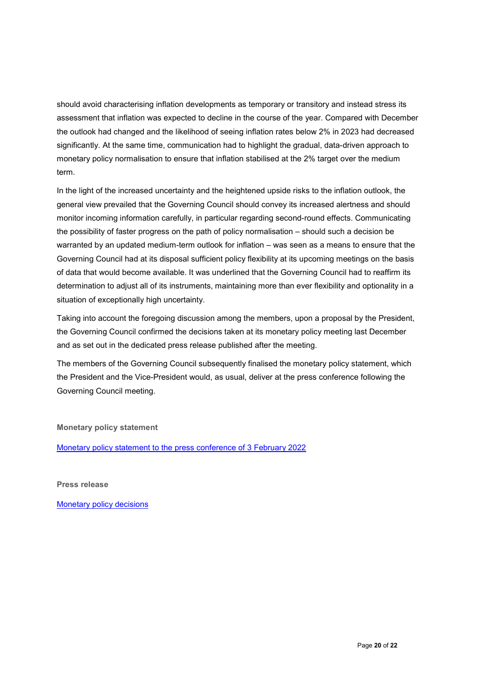should avoid characterising inflation developments as temporary or transitory and instead stress its assessment that inflation was expected to decline in the course of the year. Compared with December the outlook had changed and the likelihood of seeing inflation rates below 2% in 2023 had decreased significantly. At the same time, communication had to highlight the gradual, data-driven approach to monetary policy normalisation to ensure that inflation stabilised at the 2% target over the medium term.

In the light of the increased uncertainty and the heightened upside risks to the inflation outlook, the general view prevailed that the Governing Council should convey its increased alertness and should monitor incoming information carefully, in particular regarding second-round effects. Communicating the possibility of faster progress on the path of policy normalisation – should such a decision be warranted by an updated medium-term outlook for inflation – was seen as a means to ensure that the Governing Council had at its disposal sufficient policy flexibility at its upcoming meetings on the basis of data that would become available. It was underlined that the Governing Council had to reaffirm its determination to adjust all of its instruments, maintaining more than ever flexibility and optionality in a situation of exceptionally high uncertainty.

Taking into account the foregoing discussion among the members, upon a proposal by the President, the Governing Council confirmed the decisions taken at its monetary policy meeting last December and as set out in the dedicated press release published after the meeting.

The members of the Governing Council subsequently finalised the monetary policy statement, which the President and the Vice-President would, as usual, deliver at the press conference following the Governing Council meeting.

**Monetary policy statement**

[Monetary policy statement to the press conference of 3 February 2022](https://www.ecb.europa.eu/press/pressconf/2022/html/ecb.is220203%7Eca7001dec0.en.html)

**Press release**

[Monetary policy decisions](https://www.ecb.europa.eu/press/pr/date/2022/html/ecb.mp220203%7E90fbe94662.en.html)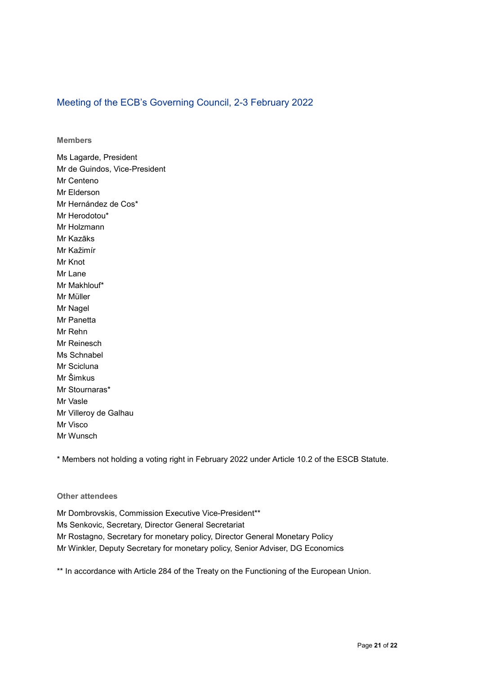#### Meeting of the ECB's Governing Council, 2-3 February 2022

**Members**

Ms Lagarde, President Mr de Guindos, Vice-President Mr Centeno Mr Elderson Mr Hernández de Cos\* Mr Herodotou\* Mr Holzmann Mr Kazāks Mr Kažimír Mr Knot Mr Lane Mr Makhlouf\* Mr Müller Mr Nagel Mr Panetta Mr Rehn Mr Reinesch Ms Schnabel Mr Scicluna Mr Šimkus Mr Stournaras\* Mr Vasle Mr Villeroy de Galhau Mr Visco Mr Wunsch

\* Members not holding a voting right in February 2022 under Article 10.2 of the ESCB Statute.

#### **Other attendees**

Mr Dombrovskis, Commission Executive Vice-President\*\* Ms Senkovic, Secretary, Director General Secretariat Mr Rostagno, Secretary for monetary policy, Director General Monetary Policy Mr Winkler, Deputy Secretary for monetary policy, Senior Adviser, DG Economics

\*\* In accordance with Article 284 of the Treaty on the Functioning of the European Union.